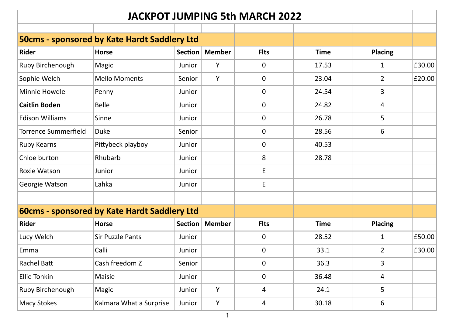| <b>JACKPOT JUMPING 5th MARCH 2022</b>        |                                              |         |               |             |             |                |        |  |  |  |
|----------------------------------------------|----------------------------------------------|---------|---------------|-------------|-------------|----------------|--------|--|--|--|
|                                              |                                              |         |               |             |             |                |        |  |  |  |
| 50cms - sponsored by Kate Hardt Saddlery Ltd |                                              |         |               |             |             |                |        |  |  |  |
| <b>Rider</b>                                 | <b>Horse</b>                                 | Section | <b>Member</b> | <b>Flts</b> | <b>Time</b> | <b>Placing</b> |        |  |  |  |
| Ruby Birchenough                             | Magic                                        | Junior  | Υ             | 0           | 17.53       | $\mathbf{1}$   | £30.00 |  |  |  |
| Sophie Welch                                 | <b>Mello Moments</b>                         | Senior  | Y             | 0           | 23.04       | $\overline{2}$ | £20.00 |  |  |  |
| Minnie Howdle                                | Penny                                        | Junior  |               | 0           | 24.54       | 3              |        |  |  |  |
| <b>Caitlin Boden</b>                         | Belle                                        | Junior  |               | 0           | 24.82       | $\overline{4}$ |        |  |  |  |
| <b>Edison Williams</b>                       | Sinne                                        | Junior  |               | 0           | 26.78       | 5              |        |  |  |  |
| <b>Torrence Summerfield</b>                  | Duke                                         | Senior  |               | 0           | 28.56       | 6              |        |  |  |  |
| Ruby Kearns                                  | Pittybeck playboy                            | Junior  |               | 0           | 40.53       |                |        |  |  |  |
| Chloe burton                                 | Rhubarb                                      | Junior  |               | 8           | 28.78       |                |        |  |  |  |
| Roxie Watson                                 | Junior                                       | Junior  |               | E           |             |                |        |  |  |  |
| Georgie Watson                               | Lahka                                        | Junior  |               | E           |             |                |        |  |  |  |
|                                              |                                              |         |               |             |             |                |        |  |  |  |
|                                              | 60cms - sponsored by Kate Hardt Saddlery Ltd |         |               |             |             |                |        |  |  |  |
| Rider                                        | <b>Horse</b>                                 | Section | <b>Member</b> | <b>Flts</b> | <b>Time</b> | <b>Placing</b> |        |  |  |  |
| Lucy Welch                                   | <b>Sir Puzzle Pants</b>                      | Junior  |               | 0           | 28.52       | $\mathbf{1}$   | £50.00 |  |  |  |
| Emma                                         | Calli                                        | Junior  |               | 0           | 33.1        | $\overline{2}$ | £30.00 |  |  |  |
| Rachel Batt                                  | Cash freedom Z                               | Senior  |               | 0           | 36.3        | 3              |        |  |  |  |
| <b>Ellie Tonkin</b>                          | Maisie                                       | Junior  |               | 0           | 36.48       | 4              |        |  |  |  |
| Ruby Birchenough                             | Magic                                        | Junior  | Υ             | 4           | 24.1        | 5              |        |  |  |  |
| <b>Macy Stokes</b>                           | Kalmara What a Surprise                      | Junior  | Υ             | 4           | 30.18       | 6              |        |  |  |  |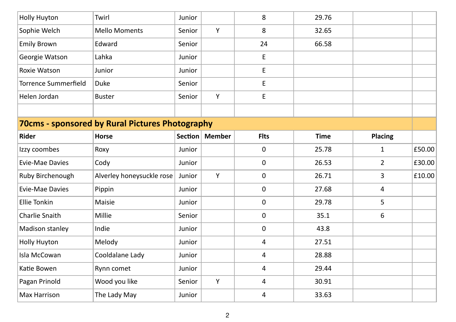| <b>Holly Huyton</b>         | Twirl                                           | Junior |                  | 8                   | 29.76       |                |        |
|-----------------------------|-------------------------------------------------|--------|------------------|---------------------|-------------|----------------|--------|
| Sophie Welch                | <b>Mello Moments</b>                            | Senior | Y                | 8                   | 32.65       |                |        |
| <b>Emily Brown</b>          | Edward                                          | Senior |                  | 24                  | 66.58       |                |        |
| Georgie Watson              | Lahka                                           | Junior |                  | E                   |             |                |        |
| Roxie Watson                | Junior                                          | Junior |                  | E                   |             |                |        |
| <b>Torrence Summerfield</b> | <b>Duke</b>                                     | Senior |                  | E                   |             |                |        |
| Helen Jordan                | <b>Buster</b>                                   | Senior | Y                | E                   |             |                |        |
|                             |                                                 |        |                  |                     |             |                |        |
|                             | 70cms - sponsored by Rural Pictures Photography |        |                  |                     |             |                |        |
| Rider                       | <b>Horse</b>                                    |        | Section   Member | <b>Flts</b>         | <b>Time</b> | Placing        |        |
| Izzy coombes                | Roxy                                            | Junior |                  | $\mathsf{O}\xspace$ | 25.78       | $\mathbf 1$    | £50.00 |
| <b>Evie-Mae Davies</b>      | Cody                                            | Junior |                  | $\mathbf 0$         | 26.53       | $\overline{2}$ | £30.00 |
| Ruby Birchenough            | Alverley honeysuckle rose                       | Junior | Y                | $\mathbf 0$         | 26.71       | 3              | £10.00 |
| <b>Evie-Mae Davies</b>      | Pippin                                          | Junior |                  | $\mathbf 0$         | 27.68       | 4              |        |
| <b>Ellie Tonkin</b>         | Maisie                                          | Junior |                  | 0                   | 29.78       | 5              |        |
| Charlie Snaith              | Millie                                          | Senior |                  | $\mathsf{O}\xspace$ | 35.1        | 6              |        |
| Madison stanley             | Indie                                           | Junior |                  | $\pmb{0}$           | 43.8        |                |        |
| Holly Huyton                | Melody                                          | Junior |                  | 4                   | 27.51       |                |        |
| Isla McCowan                | Cooldalane Lady                                 | Junior |                  | 4                   | 28.88       |                |        |
| Katie Bowen                 | Rynn comet                                      | Junior |                  | 4                   | 29.44       |                |        |
| Pagan Prinold               | Wood you like                                   | Senior | Y                | $\overline{4}$      | 30.91       |                |        |
| <b>Max Harrison</b>         | The Lady May                                    | Junior |                  | 4                   | 33.63       |                |        |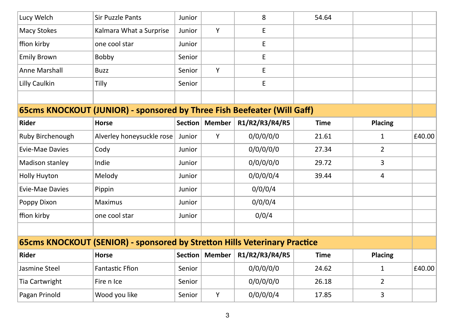| Lucy Welch           | Sir Puzzle Pants                                                          | Junior  |               | 8                                          | 54.64       |                |        |
|----------------------|---------------------------------------------------------------------------|---------|---------------|--------------------------------------------|-------------|----------------|--------|
| Macy Stokes          | Kalmara What a Surprise                                                   | Junior  | Y             | E                                          |             |                |        |
| ffion kirby          | one cool star                                                             | Junior  |               | $\mathsf{E}% _{0}\left( \mathsf{E}\right)$ |             |                |        |
| <b>Emily Brown</b>   | Bobby                                                                     | Senior  |               | E                                          |             |                |        |
| <b>Anne Marshall</b> | <b>Buzz</b>                                                               | Senior  | Y             | E                                          |             |                |        |
| Lilly Caulkin        | Tilly                                                                     | Senior  |               | E                                          |             |                |        |
|                      |                                                                           |         |               |                                            |             |                |        |
|                      | 65cms KNOCKOUT (JUNIOR) - sponsored by Three Fish Beefeater (Will Gaff)   |         |               |                                            |             |                |        |
| Rider                | <b>Horse</b>                                                              | Section | <b>Member</b> | R1/R2/R3/R4/R5                             | <b>Time</b> | <b>Placing</b> |        |
| Ruby Birchenough     | Alverley honeysuckle rose                                                 | Junior  | Y             | 0/0/0/0/0                                  | 21.61       | 1              | £40.00 |
| Evie-Mae Davies      | Cody                                                                      | Junior  |               | 0/0/0/0/0                                  | 27.34       | $\overline{2}$ |        |
| Madison stanley      | Indie                                                                     | Junior  |               | 0/0/0/0/0                                  | 29.72       | 3              |        |
| Holly Huyton         | Melody                                                                    | Junior  |               | 0/0/0/0/4                                  | 39.44       | 4              |        |
| Evie-Mae Davies      | Pippin                                                                    | Junior  |               | 0/0/0/4                                    |             |                |        |
| Poppy Dixon          | Maximus                                                                   | Junior  |               | 0/0/0/4                                    |             |                |        |
| ffion kirby          | one cool star                                                             | Junior  |               | 0/0/4                                      |             |                |        |
|                      |                                                                           |         |               |                                            |             |                |        |
|                      | 65cms KNOCKOUT (SENIOR) - sponsored by Stretton Hills Veterinary Practice |         |               |                                            |             |                |        |
| Rider                | <b>Horse</b>                                                              | Section | <b>Member</b> | R1/R2/R3/R4/R5                             | <b>Time</b> | <b>Placing</b> |        |
| Jasmine Steel        | <b>Fantastic Ffion</b>                                                    | Senior  |               | 0/0/0/0/0                                  | 24.62       | 1              | £40.00 |
| Tia Cartwright       | Fire n Ice                                                                | Senior  |               | 0/0/0/0/0                                  | 26.18       | $\overline{2}$ |        |
| Pagan Prinold        | Wood you like                                                             | Senior  | Υ             | 0/0/0/0/4                                  | 17.85       | 3              |        |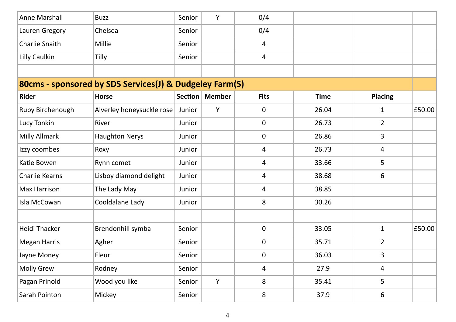| Anne Marshall        | <b>Buzz</b>                                             | Senior  | Y             | 0/4                 |             |                |        |
|----------------------|---------------------------------------------------------|---------|---------------|---------------------|-------------|----------------|--------|
| Lauren Gregory       | Chelsea                                                 | Senior  |               | 0/4                 |             |                |        |
| Charlie Snaith       | Millie                                                  | Senior  |               | 4                   |             |                |        |
| Lilly Caulkin        | Tilly                                                   | Senior  |               | $\overline{4}$      |             |                |        |
|                      |                                                         |         |               |                     |             |                |        |
|                      | 80cms - sponsored by SDS Services(J) & Dudgeley Farm(S) |         |               |                     |             |                |        |
| Rider                | <b>Horse</b>                                            | Section | <b>Member</b> | <b>Flts</b>         | <b>Time</b> | <b>Placing</b> |        |
| Ruby Birchenough     | Alverley honeysuckle rose                               | Junior  | Y             | 0                   | 26.04       | 1              | £50.00 |
| Lucy Tonkin          | River                                                   | Junior  |               | 0                   | 26.73       | $\overline{2}$ |        |
| Milly Allmark        | <b>Haughton Nerys</b>                                   | Junior  |               | 0                   | 26.86       | 3              |        |
| Izzy coombes         | Roxy                                                    | Junior  |               | 4                   | 26.73       | 4              |        |
| Katie Bowen          | Rynn comet                                              | Junior  |               | 4                   | 33.66       | 5              |        |
| Charlie Kearns       | Lisboy diamond delight                                  | Junior  |               | 4                   | 38.68       | 6              |        |
| Max Harrison         | The Lady May                                            | Junior  |               | 4                   | 38.85       |                |        |
| Isla McCowan         | Cooldalane Lady                                         | Junior  |               | 8                   | 30.26       |                |        |
|                      |                                                         |         |               |                     |             |                |        |
| <b>Heidi Thacker</b> | Brendonhill symba                                       | Senior  |               | $\mathsf{O}\xspace$ | 33.05       | $\mathbf{1}$   | £50.00 |
| <b>Megan Harris</b>  | Agher                                                   | Senior  |               | 0                   | 35.71       | $\overline{2}$ |        |
| Jayne Money          | Fleur                                                   | Senior  |               | 0                   | 36.03       | 3              |        |
| Molly Grew           | Rodney                                                  | Senior  |               | 4                   | 27.9        | 4              |        |
| Pagan Prinold        | Wood you like                                           | Senior  | Y             | 8                   | 35.41       | 5              |        |
| Sarah Pointon        | Mickey                                                  | Senior  |               | 8                   | 37.9        | 6              |        |
|                      |                                                         |         |               |                     |             |                |        |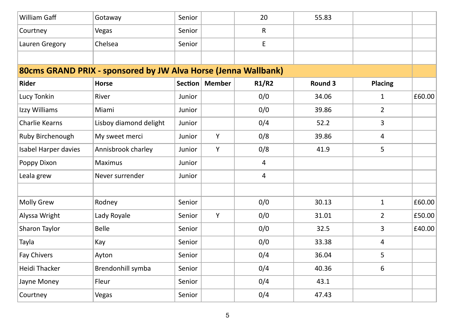| William Gaff         | Gotaway                                                        | Senior |                  | 20    | 55.83   |                |        |  |  |  |
|----------------------|----------------------------------------------------------------|--------|------------------|-------|---------|----------------|--------|--|--|--|
| Courtney             | Vegas                                                          | Senior |                  | R     |         |                |        |  |  |  |
| Lauren Gregory       | Chelsea                                                        | Senior |                  | E     |         |                |        |  |  |  |
|                      |                                                                |        |                  |       |         |                |        |  |  |  |
|                      | 80cms GRAND PRIX - sponsored by JW Alva Horse (Jenna Wallbank) |        |                  |       |         |                |        |  |  |  |
| <b>Rider</b>         | <b>Horse</b>                                                   |        | Section   Member | R1/R2 | Round 3 | Placing        |        |  |  |  |
| Lucy Tonkin          | River                                                          | Junior |                  | 0/0   | 34.06   | 1              | £60.00 |  |  |  |
| Izzy Williams        | Miami                                                          | Junior |                  | 0/0   | 39.86   | $2^{\circ}$    |        |  |  |  |
| Charlie Kearns       | Lisboy diamond delight                                         | Junior |                  | 0/4   | 52.2    | 3              |        |  |  |  |
| Ruby Birchenough     | My sweet merci                                                 | Junior | Υ                | 0/8   | 39.86   | $\overline{4}$ |        |  |  |  |
| Isabel Harper davies | Annisbrook charley                                             | Junior | Υ                | 0/8   | 41.9    | 5              |        |  |  |  |
| Poppy Dixon          | Maximus                                                        | Junior |                  | 4     |         |                |        |  |  |  |
| Leala grew           | Never surrender                                                | Junior |                  | 4     |         |                |        |  |  |  |
|                      |                                                                |        |                  |       |         |                |        |  |  |  |
| <b>Molly Grew</b>    | Rodney                                                         | Senior |                  | 0/0   | 30.13   | $\mathbf{1}$   | £60.00 |  |  |  |
| Alyssa Wright        | Lady Royale                                                    | Senior | Y                | 0/0   | 31.01   | $\overline{2}$ | £50.00 |  |  |  |
| Sharon Taylor        | Belle                                                          | Senior |                  | 0/0   | 32.5    | 3              | £40.00 |  |  |  |
| Tayla                | Kay                                                            | Senior |                  | 0/0   | 33.38   | 4              |        |  |  |  |
| Fay Chivers          | Ayton                                                          | Senior |                  | 0/4   | 36.04   | 5              |        |  |  |  |
| <b>Heidi Thacker</b> | Brendonhill symba                                              | Senior |                  | 0/4   | 40.36   | 6              |        |  |  |  |
| Jayne Money          | Fleur                                                          | Senior |                  | 0/4   | 43.1    |                |        |  |  |  |
| Courtney             | Vegas                                                          | Senior |                  | 0/4   | 47.43   |                |        |  |  |  |